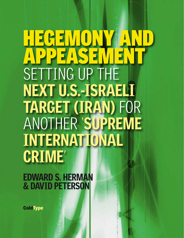# SETTING UP THE **NEXT U.S.-ISRAELI TARGET (IRAN)** FOR ANOTHER '**SUPREME INTERNATIONAL CRIME**' **HEGEMONY AND APPEASEMENT**

**EDWARD S. HERMAN & DAVID PETERSON**

**ColdType**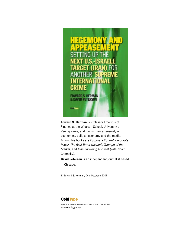

**Edward S. Herman** is Professor Emeritus of Finance at the Wharton School, University of Pennsylvania, and has written extensively on economics, political economy and the media. Among his books are *Corporate Control, Corporate Power, The Real Terror Network, Triumph of the Market,* and *Manufacturing Consent* (with Noam Chomsky).

**David Peterson** is an independent journalist based in Chicago.

© Edward S. Herman, Dvid Peterson 2007

# **ColdType**

WRITING WORTH READING FROM AROUND THE WORLD www.coldtype.net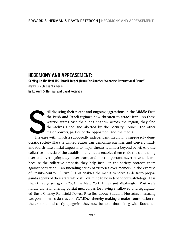# **HEGEMONY AND APPEASEMENT:**

**Setting Up the Next U.S.-Israeli Target (Iran) For Another "Supreme International Crime" 1** (Kafka Era Studies Number 4) **by Edward S. Herman and David Peterson**

**S** till digesting their recent and ongoing aggressions in the Middle East, the Bush and Israeli regimes now threaten to attack Iran. As these warrior states cast their long shadow across the region, they find themselves aided and abetted by the Security Council, the other major powers, parties of the opposition, and the media.

The ease with which a supposedly independent media in a supposedly democratic society like the United States can demonize enemies and convert thirdand fourth-rate official targets into major threats is almost beyond belief. And the collective amnesia of the establishment media enables them to do the same thing over and over again; they never learn, and most important never have to learn, because the collective amnesia they help instill in the society protects them against correction – an unending series of victories over memory in the exercise of "reality-control" (Orwell). This enables the media to serve as de facto propaganda agents of their state while still claiming to be independent watchdogs. Less than three years ago, in 2004, the New York Times and Washington Post were hardly alone in offering partial mea culpas for having swallowed and regurgitated Bush-Cheney-Rumsfeld-Powell-Rice lies about Saddam Hussein's menacing weapons of mass destruction (WMD),<sup>2</sup> thereby making a major contribution to the criminal and costly quagmire they now bemoan (but, along with Bush, still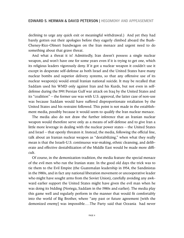declining to urge any quick exit or meaningful withdrawal.) And yet they had barely gotten out their apologies before they eagerly climbed aboard the Bush-Cheney-Rice-Olmert bandwagon on the Iran menace and urgent need to do something about that grave threat.

And what a threat it is! Admittedly, Iran doesn't possess a single nuclear weapon, and won't have one for some years even if it is trying to get one, which its religious leaders vigorously deny. If it got a nuclear weapon it couldn't use it except in desperate self-defense as both Israel and the United States have many nuclear bombs and superior delivery systems, so that any offensive use of its nuclear weapon(s) would entail Iranian national suicide. It may be recalled that Saddam used his WMD only against Iran and his Kurds, but not even in selfdefense during the 1991 Persian Gulf war attack on Iraq by the United States and its "coalition" – the former use was with U.S. approval, the latter case of non-use was because Saddam would have suffered disproportionate retaliation by the United States and his restraint followed. This point is not made in the establishment media, possibly because it would seem to qualify the Iran nuclear menace.

The media also do not draw the further inference that an Iranian nuclear weapon would therefore serve only as a means of self-defense and to give Iran a little more leverage in dealing with the nuclear power states – the United States and Israel – that openly threaten it. Instead, the media, following the official line, talk about an Iranian nuclear weapon as "destabilizing," when what they really mean is that the Israeli-U.S. continuous war-making, ethnic cleansing, and deliberate and effective destabilization of the Middle East would be made more difficult.

Of course, in the demonization tradition, the media feature the special menace of the evil men who run the Iranian state. In the good old days the trick was to tie them to the Evil Empire (the Guatemalan leadership in 1954, the Sandinistas in the 1980s, and in fact any national liberation movement or uncooperative leader who might have sought arms from the Soviet Union), carefully avoiding any awkward earlier support the United States might have given the evil man when he was doing its bidding (Noriega, Saddam in the 1980s and earlier). The media play this game well and regularly perform in the manner that would fit comfortably into the world of Big Brother, where "any past or future agreement [with the demonized enemy] was impossible.…The Party said that Oceania had never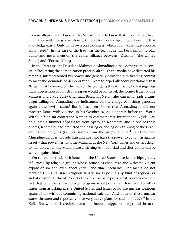been in alliance with Eurasia. He, Winston Smith, knew that Oceania had been in alliance with Eurasia so short a time as four years ago. But where did that knowledge exist? Only in his own consciousness, which in any case must soon be annihilated." In the case of the Iraq war the technique has been simply to play dumb and never mention the earlier alliance between "Oceania" (the United States) and "Eurasia"(Iraq).

In the Iran case, its President Mahmoud Ahmadinejad has done yeoman service in facilitating the demonization process, although the media have distorted his remarks, misrepresented his power, and generally provided a misleading context to meet the demands of demonization. Ahmadinejad allegedly proclaimed that "Israel must be wiped off the map of the world," a threat proving how dangerous Iran's acquisition of a nuclear weapon would be for Israel; the former Israeli Prime Minister and Likud Party Chairman Benjamin Netanyahu currently leads a campaign calling for Ahmadinejad's indictment on the charge of inciting genocide against the Jewish state.<sup>3</sup> But it has been shown that Ahmadinejad did not threaten Israel with violence in his October 26, 2005 address before the World Without Zionism conference. Rather, to commemorate International Quds Day, he quoted a number of passages from Ayatollah Khomeini, and in one of these quotes, Khomeini had predicted the passing or ending or vanishing of the Israeli occupation of Quds (i.e., Jerusalem) from the pages of time.<sup>4</sup> Furthermore, Ahmadinejad does not rule Iran and does not have the power to go to war against Israel – that power lies with the Mullahs, as the New York Times and others deign to mention when the Mullahs are criticizing Ahmadinejad and thus points can be scored against him.<sup>5</sup>

On the other hand, both Israel and the United States have leaderships greatly influenced by religious groups whose principles encourage and welcome violent expansionism and even apocalyptic, "end-time" scenarios. The media do not mention U.S. and Israeli religious fanaticism as posing any kind of regional or global existential threat. Nor do they discuss or express great concern over the fact that whereas a few nuclear weapons would only help Iran to deter other states from attacking it, the United States and Israel could use nuclear weapons against Iran without committing national suicide. And both of these nuclear states threaten and reportedly have very active plans for such an attack. $^6$  In the Kafka Era, while such credible plans and threats disappear, the mythical threat to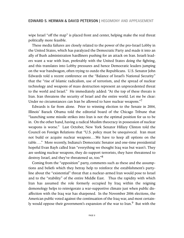wipe Israel "off the map" is placed front and center, helping make the real threat politically more feasible.

These media failures are closely related to the power of the pro-Israel Lobby in the United States, which has paralyzed the Democratic Party and made it into an ally of Bush administration hardliners pushing for an attack on Iran. Israeli leaders want a war with Iran, preferably with the United States doing the fighting, and this translates into Lobby pressures and hence Democratic leaders jumping on the war bandwagon, often trying to outdo the Republicans. U.S. Senator John Edwards told a recent conference on the "Balance of Israel's National Security" that the "rise of Islamic radicalism, use of terrorism, and the spread of nuclear technology and weapons of mass destruction represent an unprecedented threat to the world and Israel." He immediately added: "At the top of these threats is Iran. Iran threatens the security of Israel and the entire world. Let me be clear: Under no circumstances can Iran be allowed to have nuclear weapons."<sup>7</sup>

Edwards is far from alone. Prior to winning election to the Senate in 2004, Illinois' Barack Obama told the editorial board of the Chicago Tribune that "launching some missile strikes into Iran is not the optimal position for us to be in. On the other hand, having a radical Muslim theocracy in possession of nuclear weapons is worse." Last October, New York Senator Hillary Clinton told the Council on Foreign Relations that "U.S. policy must be unequivocal. Iran must not build or acquire nuclear weapons….We have to keep all options on the table…." More recently, Indiana's Democratic Senator and one-time presidential hopeful Evan Bayh called Iran "everything we thought Iraq was but wasn't. They are seeking nuclear weapons, they do support terrorists, they have threatened to destroy Israel, and they've threatened us, too."<sup>8</sup>

Coming from the "opposition" party, comments such as these and the assumptions and beliefs which they betray help to reinforce the establishment's partyline about the "existential" threat that a nuclear-armed Iran would pose to Israel and to the "stability" of the entire Middle East. Thus the rapidity with which Iran has assumed the role formerly occupied by Iraq within the reigning demonology helps to reinvigorate a war-supportive climate just when public disaffection with the Iraq war has sharpened. In the November 2006 elections, the American public voted against the continuation of the Iraq war, and most certainly would oppose their government's expansion of the war to Iran.<sup>9</sup> But with the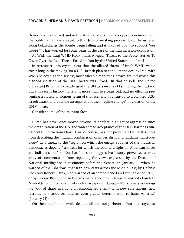Democrats neutralized and in the absence of a truly mass opposition movement, the public remains irrelevant to this decision-making process: It can be ushered along belatedly, as the bombs begin falling and it is called upon to support "our troops." That worked for some years in the case of the Iraq invasion-occupation.

As With the Iraqi WMD Hoax, Iran's Alleged "Threat to the Peace" Serves To Cover Over the Real Threat Posed to Iran by the United States and Israel

In retrospect, it is crystal clear that the alleged threat of Iraq's WMD was a cover, long in the making, for a U.S.-British plan to conquer and occupy Iraq, with WMD selected as the sexiest, most saleable marketing device around which this planned violation of the UN Charter was "fixed." In that episode, the United States and Britain also clearly used the UN as a means of facilitating their attack. But this recent history, none of it more than five years old, had no effect in preventing a closely analogous rerun of that scenario in a run-up to a planned U.S.- Israeli attack and possible attempt at another "regime change" in violation of the UN Charter.

Consider some of the relevant facts:

1. Iran has never once moved beyond its borders in an act of aggression since the organization of the UN and widespread acceptance of the UN Charter as fundamental international law. This, of course, has not prevented Henry Kissinger from describing the "Iranian combination of imperialism and fundamentalist ideology" as a threat to the "region on which the energy supplies of the industrial democracies depend," a threat for which the counterweight of "American forces are indispensable."<sup>10</sup> Nor has Iran's non-aggressive history prevented a wide array of commentators from repeating the views expressed by the Director of National Intelligence in testimony before the Senate on January 11, when he warned of the "shadow" that Iran now casts across the Middle East; by Defense Secretary Robert Gates, who warned of an "emboldened and strengthened Iran;" or by George Bush, who, in his two major speeches in January, warned of an Iran "emboldened in its pursuit of nuclear weapons" (January 10), a new axis emerging "out of chaos in Iraq,…an emboldened enemy with new safe havens, new recruits, new resources, and an even greater determination to harm America" (January 23).<sup>11</sup>

On the other hand, while despite all this noisy rhetoric Iran has stayed at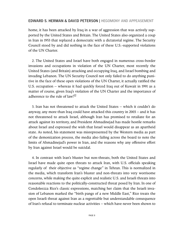home, it has been attacked by Iraq in a war of aggression that was actively supported by the United States and Britain. The United States also organized a coup in Iran in 1953 that replaced a democratic with a dictatorial regime. The Security Council stood by and did nothing in the face of these U.S.-supported violations of the UN Charter.

2. The United States and Israel have both engaged in numerous cross-border invasions and occupations in violation of the UN Charter, most recently the United States (and Britain) attacking and occupying Iraq, and Israel bombing and invading Lebanon. The UN Security Council not only failed to do anything punitive in the face of these open violations of the UN Charter, it actually ratified the U.S. occupation – whereas it had quickly forced Iraq out of Kuwait in 1991 as a matter of course, given Iraq's violation of the UN Charter and the importance of adherence to the rule of  $\text{law}$ <sup>[12</sup>]

3. Iran has not threatened to attack the United States – which it couldn't do anyway, any more than Iraq could have attacked this country in 2003 – and it has not threatened to attack Israel, although Iran has promised to retaliate for an attack against its territory, and President Ahmadinejad has made hostile remarks about Israel and expressed the wish that Israel would disappear as an apartheid state. As noted, his statement was misrepresented by the Western media as part of the demonization process, the media also failing across the board to note the limits of Ahmadinejad's power in Iran, and the reasons why any offensive effort by Iran against Israel would be suicidal.

4. In contrast with Iran's bluster but non-threats, both the United States and Israel have made quite open threats to attack Iran, with U.S. officials speaking regularly of their objective as "regime change" in Tehran. This is normalized in the media, which transform Iran's bluster and non-threats into very worrisome concerns, while making the quite explicit and realistic U.S. and Israeli threats into reasonable reactions to the politically-constructed threat posed by Iran. In one of Condoleezza Rice's classic expressions, matching her claim that the Israeli invasion of Lebanon marked the "birth pangs of a new Middle East," Rice treats the open Israeli threat against Iran as a regrettable but understandable consequence of Iran's refusal to terminate nuclear activities – which have never been shown to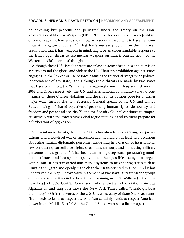be anything but peaceful and permitted under the Treaty on the Non-Proliferation of Nuclear Weapons (NPT): "I think that even talk of such [military operations against Iran] just shows how very serious it would be to have Iran continue its program unabated."<sup>13</sup> That Iran's nuclear program, on the unproven assumption that it has weapons in mind, might be an understandable response to the Israeli open threat to use nuclear weapons on Iran, is outside her  $-$  or the Western media's – orbit of thought.

Although these U.S.-Israeli threats are splashed across headlines and television screens around the globe, and violate the UN Charter's prohibition against states engaging in the "threat or use of force against the territorial integrity or political independence of any state," and although these threats are made by two states that have committed the "supreme international crime" in Iraq and Lebanon in 2003 and 2006, respectively, the UN and international community take no cognizance of these Charter violations and the threat its authors pose for a further major war. Instead the new Secretary-General speaks of the UN and United States having a "shared objective of promoting human rights, democracy and freedom and peace and security,"<sup>14</sup> and the Security Council continues to cooperate actively with the threatening global rogue state as it and its client prepare for a further war of aggression.

5. Beyond mere threats, the United States has already been carrying out provocations and a low-level war of aggression against Iran, on at least two occasions abducting Iranian diplomatic personnel inside Iraq in violation of international law, conducting surveillance flights over Iran's territory, and infiltrating military personnel on the ground.<sup>15</sup> It has been transferring deep-earth-penetrating munitions to Israel, and has spoken openly about their possible use against targets within Iran. It has transferred anti-missile systems to neighboring states such as Kuwait and Qatar, and openly made clear their Iran-oriented mission. And it has undertaken the highly provocative placement of two naval aircraft carrier groups off Iran's coastal waters in the Persian Gulf, naming Admiral William J. Fallon the new head of U.S. Central Command, whose theater of operations include Afghanistan and Iraq in a move the New York Times called "classic gunboat diplomacy.<sup>"16</sup> Or in the words of the U.S. Undersecretary of State Nicholas Burns, "Iran needs to learn to respect us. And Iran certainly needs to respect American power in the Middle East."17 All the United States wants is a little respect!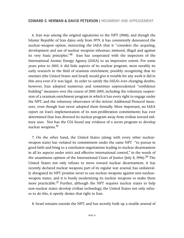6. Iran was among the original signatories to the NPT (1968); and though the Islamic Republic of Iran dates only from 1979, it has consistently denounced the nuclear-weapon option, instructing the IAEA that it "considers the acquiring, development and use of nuclear weapons inhuman, immoral, illegal and against its very basic principles."18 Iran has cooperated with the inspectors of the International Atomic Energy Agency (IAEA) to an impressive extent. For some years prior to 2003, it did hide aspects of its nuclear program, most notably its early research in the field of uranium enrichment, possibly recognizing that its enemies (the United States and Israel) would give it trouble for any work it did in this area even if it was legal. In order to satisfy the IAEA's ever-changing doubts, however, Iran adopted numerous and sometimes unprecedented "confidence building" measures over the course of 2003-2005, including the voluntary suspension of a uranium enrichment program in which it has every right to engage under the NPT, and the voluntary observance of the stricter Additional Protocol measures, even though Iran never adopted them formally. More important, no IAEA report on Iran's implementation of its non-proliferation commitments has ever determined that Iran diverted its nuclear program away from civilian toward military uses. Nor has the CIA found any evidence of a secret program to develop nuclear weapons.<sup>19</sup>

7. On the other hand, the United States (along with every other nuclearweapon state) has violated its commitment under the same NPT "to pursue in good faith and bring to a conclusion negotiations leading to nuclear disarmament in all its aspects under strict and effective international control," in the words of the unanimous opinion of the International Court of Justice (July 8, 1996).<sup>20</sup> The United States not only refuses to move toward nuclear disarmament, it has recently declared nuclear weapons part of its regular war arsenal, has unilaterally abrogated its NPT promise never to use nuclear weapons against non-nuclearweapon states, and it is busily modernizing its nuclear weapons to make them more practicable.<sup>21</sup> Further, although the NPT requires nuclear states to help non-nuclear states develop civilian technology, the United States not only refuses to do this, it openly denies that right to Iran.

8. Israel remains outside the NPT, and has secretly built up a sizable arsenal of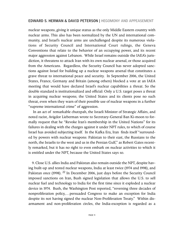nuclear weapons, giving it unique status as the only Middle Eastern country with nuclear arms. This also has been normalized by the UN and international community, and Israel's nuclear arms are unchallenged despite its numerous violations of Security Council and International Court rulings, the Geneva Conventions that relate to the behavior of an occupying power, and its recent major aggression against Lebanon. While Israel remains outside the IAEA's jurisdiction, it threatens to attack Iran with its own nuclear arsenal, or those acquired from the Americans. Regardless, the Security Council has never adopted sanctions against Israel for building up a nuclear weapons arsenal that constitutes a grave threat to international peace and security. In September 2006, the United States, France, Germany and Britain (among others) blocked a vote at an IAEA meeting that would have declared Israel's nuclear capabilities a threat. So the double standard is institutionalized and official: Only a U.S. target poses a threat in acquiring nuclear weapons; the United States and its clients pose no such threat, even when they warn of their possible use of nuclear weapons in a further "supreme international crime" of aggression.

In an act of remarkable chutzpah, the Israeli Minister of Strategic Affairs, and noted racist, Avigdor Lieberman wrote to Secretary-General Ban Ki-moon to formally request that he "Revoke Iran's membership in the United Nations" for its failures in dealing with the charges against it under NPT rules, to which of course Israel has avoided subjecting itself. In the Kafka Era, Iran finds itself "surrounded by powers with nuclear weapons: Pakistan to their east, the Russians to the north, the Israelis to the west and us in the Persian Gulf," as Robert Gates recently remarked, but it has no right to even embark on nuclear activities to which it is entitled under the NPT, because the United States says so.

9.Close U.S. allies India and Pakistan also remain outside the NPT, despite having built-up and tested nuclear weapons, India at least twice (1974 and 1998), and Pakistan once (1998). <sup>22</sup> In December 2006, just days before the Security Council imposed sanctions on Iran, Bush signed legislation that allows the U.S. to sell nuclear fuel and technology to India for the first time since it exploded a nuclear device in 1974. Bush, the Washington Post reported, "reversing three decades of nonproliferation policy,…persuaded Congress to make an exception for India despite its not having signed the nuclear Non-Proliferation Treaty." Within disarmament and non-proliferation circles, the India-exception is regarded as a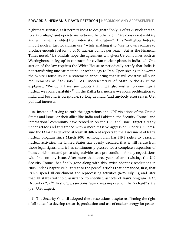nightmare scenario, as it permits India to designate "only 14 of its 22 nuclear reactors as civilian," and open to inspections; the other eight "are considered military and will remain shielded from international scrutiny." This "will allow India to import nuclear fuel for civilian use," while enabling it to "use its own facilities to produce enough fuel for 40 or 50 nuclear bombs per year." But as the Financial Times noted, "US officials hope the agreement will given US companies such as Westinghouse a 'leg up' in contracts for civilian nuclear plants in India…." One section of the law requires the White House to periodically certify that India is not transferring nuclear material or technology to Iran. Upon signing it, however, the White House issued a statement announcing that it will construe all such requirements as "advisory." As Undersecretary of State Nicholas Burns explained, "We don't have any doubts that India also wishes to deny Iran a nuclear weapons capability.<sup>23</sup> In the Kafka Era, nuclear-weapons proliferation to India and beyond is acceptable, so long as India (and anybody else) serves U.S. political interests.

10. Instead of trying to curb the aggressions and NPT violations of the United States and Israel, or their allies like India and Pakistan, the Security Council and international community have zeroed-in on the U.S. and Israeli target already under attack and threatened with a more massive aggression. Under U.S. pressure the IAEA has devoted at least 20 different reports to the assessment of Iran's nuclear program since March 2003. Although Iran has NPT rights to peaceful nuclear activities, the United States has openly declared that it will refuse Iran those legal rights, and it has continuously pressed for a complete suspension of Iran's enrichment and processing activities as a pre-condition for any negotiations with Iran on any issue. After more than three years of arm-twisting, the UN Security Council has finally gone along with this, twice adopting resolutions in 2006 under Chapter VII's "threat to the peace" articles that demanded, first, that Iran suspend all enrichment and reprocessing activities (1696, July 31), and later that all states withhold assistance to specified aspects of Iran's program (1737, December 23).<sup>24</sup> In short, a sanctions regime was imposed on the "defiant" state (i.e., U.S. target).

11. The Security Council adopted these resolutions despite reaffirming the right of all states "to develop research, production and use of nuclear energy for peace-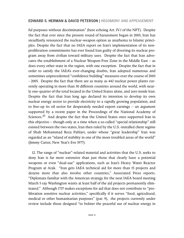ful purposes without discrimination" (here echoing Art. IV.1 of the NPT). Despite the fact that ever since the present round of harassment began in 2003, Iran has steadfastly renounced the nuclear-weapon option as anathema to Islamic principles. Despite the fact that no IAEA report on Iran's implementation of its nonproliferation commitments has ever found Iran guilty of diverting its nuclear program away from civilian toward military uses. Despite the fact that Iran advocates the establishment of a Nuclear Weapon-Free Zone in the Middle East – as does every other state in the region, with one exception. Despite the fact that in order to satisfy the IAEA's ever-changing doubts, Iran adopted numerous and sometimes unprecedented "confidence building" measures over the course of 2003 - 2005. Despite the fact that there are as many as 442 nuclear power plants currently operating in more than 30 different countries around the world, with nearly one-quarter of the total located in the United States alone, and zero inside Iran. Despite the fact that Iran long ago declared its intention to develop its own nuclear energy sector to provide electricity to a rapidly growing population, and to free-up its oil sector for desperately needed export earnings – an argument supported by a recent paper in the Proceedings of the National Academy of Sciences.<sup>25</sup> And despite the fact that the United States once supported Iran in this objective – though only at a time when a so-called "special relationship" still existed between the two states, Iran then ruled by the U.S.-installed client regime of Shah Mohammad Reza Pahlavi, under whose "great leadership" Iran was regarded as an "island of stability in one of the more troubled areas of the world" (Jimmy Carter, New Year's Eve 1977).

12. The range of "nuclear"-related material and activities that the U.S. seeks to deny Iran is far more extensive than just those that clearly have a potential weapons or even "dual-use" applications, such as Iran's Heavy Water Reactor Program at Arak. "Iran gets IAEA technical aid for more than 15 projects and dozens more that also involve other countries," Associated Press reports. "Diplomats familiar with the American strategy for the next IAEA board meeting March 5 say Washington wants at least half of the aid projects permanently eliminated." Although 1737 makes exceptions for aid that does not contribute to "proliferation sensitive nuclear activities," specifically if it serves "food, agricultural, medical or other humanitarian purposes" (par. 9), the projects currently under review include those designed "to bolster the peaceful use of nuclear energy in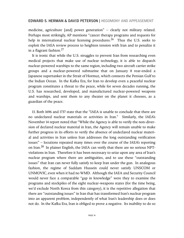medicine, agriculture [and] power generation" – clearly not military related. Perhaps most strikingly, AP mentions "cancer therapy programs and requests for help in international nuclear licensing procedures.<sup>26</sup> Thus the U.S. seeks to exploit the IAEA review process to heighten tension with Iran and to penalize it in a flagrant fashion. $27$ 

It is ironic that while the U.S. struggles to prevent Iran from researching even medical projects that make use of nuclear technology, it is able to dispatch nuclear-powered warships to the same region, including two aircraft carrier strike groups and a nuclear-powered submarine that on January 8 rear-ended a Japanese supertanker in the Strait of Hormuz, which connects the Persian Gulf to the Indian Ocean. In the Kafka Era, for Iran to develop even a peaceful nuclear program constitutes a threat to the peace, while for seven decades running, the U.S. has researched, developed, and manufactured nuclear-powered weapons and warships, and sent them to any theater on the planet it chooses, as a guardian of the peace.

13. Both 1696 and 1737 state that the "IAEA is unable to conclude that there are no undeclared nuclear materials or activities in Iran." Similarly, the IAEA's November 14 report noted that "While the Agency is able to verify the non-diversion of declared nuclear material in Iran, the Agency will remain unable to make further progress in its efforts to verify the absence of undeclared nuclear material and activities in Iran unless Iran addresses the long outstanding verification issues" – locutions repeated many times over the course of the IAEA's reporting on Iran.<sup>28</sup> In plainer English, the IAEA can verify that there are no serious NPTviolations in Iran. Therefore it has been necessary to seize upon any area of Iran's nuclear program where there are ambiguities, and to use these "outstanding issues" that Iran can never fully satisfy to keep Iran under the gun. In analogous fashion, the regime of Saddam Hussein could never satisfy UNSCOM or UNMOVIC, even when it had no WMD. Although the IAEA and Security Council would never face a comparable "gap in knowledge" were they to examine the programs and stockpiles of the eight nuclear-weapons states (for the time being, we'd exclude North Korea from this category), it is the repetitive allegation that there are "outstanding issues" in Iran that has transformed Iran's nuclear program into an apparent problem, independently of what Iran's leadership does or does not do. In the Kafka Era, Iran is obliged to prove a negative. Its inability to do so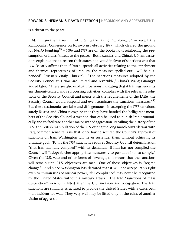is a threat to the peace

14. In another triumph of U.S. war-making "diplomacy" – recall the Rambouillet Conference on Kosovo in February 1999, which cleared the ground for NATO bombing<sup>29</sup> – 1696 and 1737 are on the books now, reinforcing the presumption of Iran's "threat to the peace." Both Russia's and China's UN ambassadors explained that a reason their states had voted in favor of sanctions was that 1737 "clearly affirms that, if Iran suspends all activities relating to the enrichment and chemical reprocessing of uranium, the measures spelled out…will be suspended" (Russia's Vitaly Churkin). "The sanctions measures adopted by the Security Council this time are limited and reversible," China's Wang Guangya added later. "There are also explicit provisions indicating that if Iran suspends its enrichment-related and reprocessing activities, complies with the relevant resolutions of the Security Council and meets with the requirements of the IAEA, the Security Council would suspend and even terminate the sanctions measures."30 But these testimonies are false and disingenuous. In accepting the 1737 sanctions, surely Russia and China recognize that they have handed the belligerent members of the Security Council a weapon that can be used to punish Iran economically and to facilitate another major war of aggression. Recalling the history of the U.S. and British manipulation of the UN during the long march towards war with Iraq, common sense tells us that, once having secured the Council's approval of sanctions on Iran, Washington will never surrender them without achieving its ultimate goal. To lift the 1737 sanctions requires Security Council determination "that Iran has fully complied" with its demands. If Iran has not complied the Council will "adopt further appropriate measures…to persuade Iran to comply." Given the U.S. veto and other forms of leverage, this means that the sanctions will remain until U.S. objectives are met. One of those objectives is "regime change." And since Washington has declared that it will not accept Iran's right even to civilian uses of nuclear power, "full compliance" may never be recognized by the United States without a military attack. The Iraq "sanctions of mass destruction" were only lifted after the U.S. invasion and occupation. The Iran sanctions are similarly structured to provide the United States with a casus belli – an incident for war. They very well may be lifted only in the ruins of another victim of aggression.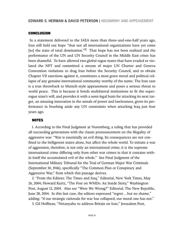# **CONCLUSION**

In a statement delivered to the IAEA more than three-and-one-half years ago, Iran still held out hope "that not all international organizations have yet come [to] the state of total domination.<sup>"31</sup> That hope has not been realized and the performance of the UN and UN Security Council in the Middle East crises has been shameful. To have allowed two global rogue states that have evaded or violated the NPT and committed a stream of major UN Charter and Geneva Convention violations to drag Iran before the Security Council, and to obtain Chapter VII sanctions against it, constitutes a most grave moral and political collapse of any genuine international community worthy of the name. The Iran case is a true throwback to Munich-style appeasement and poses a serious threat to world peace. This is because it bends multilateral institutions to fit the superrogue state's will, and provides it with a semi-legal basis for attacking its next target, an amazing innovation in the annals of power and lawlessness, given its performance in brushing aside any UN constraints when attacking Iraq just four years ago.

# **NOTES**

1. According to the Final Judgment at Nuremberg, a ruling that has provided all succeeding generations with the classic pronouncement on the illegality of aggressive war: "War is essentially an evil thing. Its consequences are not confined to the belligerent states alone, but affect the whole world. To initiate a war of aggression, therefore, is not only an international crime; it is the supreme international crime differing only from other war crimes in that it contains within itself the accumulated evil of the whole." See Final Judgment of the International Military Tribunal for the Trial of German Major War Criminals (September 30, 1946), specifically "The Common Plan or Conspiracy and Aggressive War," from which this passage derives.

2. "From the Editors: The Times and Iraq," Editorial, New York Times, May 26, 2004; Howard Kurtz, "The Post on WMDs: An Inside Story," Washington Post, August 12, 2004. Also see "Were We Wrong?" Editorial, The New Republic, June 28, 2004. In this last case, the editors expressed "regret...but no shame," adding: "if our strategic rationale for war has collapsed, our moral one has not."

3. Gil Hoffman, "Netanyahu to address Britain on Iran," Jerusalem Post,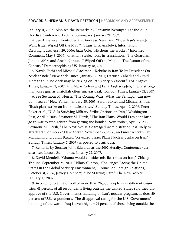January 11, 2007. Also see the Remarks by Benjamin Netanyahu at the 2007 Herzliya Conference, Lecture Summaries, January 21, 2007.

4. See Anneliese Fikentscher and Andreas Neumann, "Does Iran's President Want Israel Wiped Off the Map?" (Trans. Erik Appleby), Information Clearinghouse, April 20, 2006; Juan Cole, "Hitchens the Hacker," Informed Comment, May 3, 2006; Jonathan Steele, "Lost in Translation," The Guardian, June 14, 2006; and Arash Norouzi, "'Wiped Off the Map' – The Rumor of the Century," DemocracyRising.US, January 18, 2007.

5. Nazila Fathi and Michael Slackman, "Rebuke in Iran To Its President On Nuclear Role," New York Times, January 19, 2007; Dariush Zahedi and Omid Memarian, "The clock may be ticking on Iran's fiery president," Los Angeles Times, January 21, 2007; and Marie Colvin and Leila Asgharzadeh, "Iran's strongman loses grip as ayatollah offers nuclear deal," London Times, January 21, 2007.

6. See Seymour M. Hersh, "The Coming Wars: What the Pentagon can now do in secret," New Yorker, January 25, 2005; Sarah Baxter and Michael Smith, "Bush plans strike on Iran's nuclear sites," Sunday Times, April 9, 2006; Peter Baker et al., "U.S. Is Studying Military Strike Options on Iran," Washington Post, April 9, 2006; Seymour M. Hersh, "The Iran Plans: Would President Bush go to war to stop Tehran from getting the bomb?" New Yorker, April 17, 2006; Seymour M. Hersh, "The Next Act: Is a damaged Administration less likely to attack Iran, or more?" New Yorker, November 27, 2006; and most recently Uzi Mahnaimi and Sarah Baxter, "Revealed: Israel Plans Nuclear Strike on Iran," Sunday Times, January 7, 2007 (as posted to Truthout).

7. Remarks by Senator John Edwards at the 2007 Herzliya Conference (via satellite), Lecture Summaries, January 22, 2007.

8. David Mendell, "Obama would consider missile strikes on Iran," Chicago Tribune, September 25, 2004; Hillary Clinton, "Challenges Facing the United States in the Global Security Environment," Council on Foreign Relations, October 31, 2006; Jeffrey Goldberg, "The Starting Gate," The New Yorker, January 15, 2007.

9. According to a major poll of more than 26,000 people in 25 different countries, 61 percent of all respondents living outside the United States said they disapprove of the U.S. Government's handling of Iran's nuclear program, as does 50 percent of U.S. respondents. The disapproval rating for the U.S. Government's handling of the war in Iraq is even higher: 74 percent of those living outside the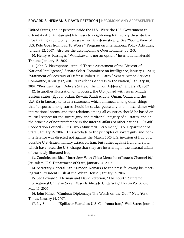United States, and 57 percent inside the U.S. Were the U.S. Government to extend its Afghanistan and Iraq wars to neighboring Iran, surely these disapproval ratings could only increase – perhaps dramatically. See "World View of U.S. Role Goes from Bad To Worse," Program on International Policy Attitudes, January 22, 2007. Also see the accompanying Questionnaire, pp. 2-3.

10. Henry A. Kissinger, "Withdrawal is not an option," International Herald Tribune, January 18, 2007.

11. John D. Negroponte, "Annual Threat Assessment of the Director of National Intelligence," Senate Select Committee on Intelligence, January 11, 2007; "Statement of Secretary of Defense Robert M. Gates," Senate Armed Services Committee, January 12, 2007; "President's Address to the Nation," January 10, 2007; "President Bush Delivers State of the Union Address," January 23, 2007.

12. In another illustration of hypocrisy, the U.S. joined with seven Middle Eastern states (Egypt, Jordan, Kuwait, Saudi Arabia, Oman, Qatar, and the U.A.E.) in January to issue a statement which affirmed, among other things, that "disputes among states should be settled peacefully and in accordance with international norms, and that relations among all countries should be based on mutual respect for the sovereignty and territorial integrity of all states, and on the principle of noninterference in the internal affairs of other nations." ("Gulf Cooperation Council - Plus Two's Ministerial Statement," U.S. Department of State, January 16, 2007). This accolade to the principles of sovereignty and noninterference was directed not against the March 2003 U.S. invasion of Iraq or a possible U.S.-Israeli military attack on Iran, but rather against Iran and Syria, which have faced the U.S. charge that they are interfering in the internal affairs of the newly liberated Iraq.

13. Condoleezza Rice, "Interview With Chico Menashe of Israel's Channel 10," Jerusalem, U.S. Department of State, January 14, 2007.

14. Secretary-General Ban Ki-moon, Remarks to the press following his meeting with President Bush at the White House, January 16, 2007.

15. See Edward S. Herman and David Peterson, "The Fourth 'Supreme International Crime' in Seven Years Is Already Underway," ElectricPolitics.com, May 16, 2006.

16. John Kifner, "Gunboat Diplomacy: The Watch on the Gulf," New York Times, January 14, 2007.

17. Jay Solomon, "Spillover Feared as U.S. Confronts Iran," Wall Street Journal,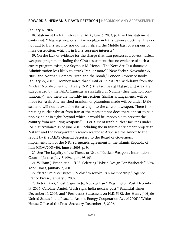#### January 12, 2007.

18. Statement by Iran before the IAEA, June 6, 2003, p. 4. – This statement continued: "[Nuclear weapons] have no place in Iran's defence doctrine. They do not add to Iran's security nor do they help rid the Middle East of weapons of mass destruction, which is in Iran's supreme interests."

19. On the lack of evidence for the charge that Iran possesses a covert nuclear weapons program, including the CIA's assessment that no evidence of such a covert program exists, see Seymour M. Hersh, "The Next Act: Is a damaged Administration less likely to attack Iran, or more?" New Yorker, November 27, 2006; and Norman Dombey, "Iran and the Bomb," London Review of Books, January 25, 2007. Dombey notes that "until or unless Iran withdraws from the Nuclear Non-Proliferation Treaty (NPT), the facilities at Natanz and Arak are safeguarded by the IAEA. Cameras are installed at Natanz (they function continuously), and there are monthly inspections. Similar arrangements will be made for Arak. Any enriched uranium or plutonium made will be under IAEA seal and will not be available for casting into the core of a weapon. There is no pressing nuclear threat from Iran at the moment; nor does there appear to be a tipping point in sight, beyond which it would be impossible to prevent the country from acquiring weapons." – For a list of Iran's nuclear facilities under IAEA surveillance as of June 2003, including the uranium-enrichment project at Natanz and the heavy-water research reactor at Arak, see the Annex to the report by the IAEA's General Secretary to the Board of Governors, Implementation of the NPT safeguards agreement in the Islamic Republic of Iran (GOV/2003/40), June 6, 2003, p. 9.

20. See The Legality of the Threat or Use of Nuclear Weapons, International Court of Justice, July 8, 1996, pars. 98-103.

21. William J. Broad et al., "U.S. Selecting Hybrid Design For Warheads," New York Times, January 7, 2007.

22. "Israeli minister urges UN chief to revoke Iran membership," Agence France Presse, January 3, 2007.

23. Peter Baker, "Bush Signs India Nuclear Law," Washington Post, December 19, 2006; Caroline Daniel, "Bush signs India nuclear pact," Financial Times, December 19, 2006; and "President's Statement on H.R. 5682, the 'Henry J. Hyde United States-India Peaceful Atomic Energy Cooperation Act of 2006'," White House Office of the Press Secretary, December 18, 2006.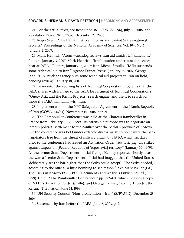24. For the actual texts, see Resolution 1696 (S/RES/1696), July 31, 2006; and Resolution 1737 (S/RES/1737), December 23, 2006.

25. Roger Stern, "The Iranian petroleum crisis and United States national security," Proceedings of the National Academy of Sciences, Vol. 104, No. 1, January 2, 2007.

26. Mark Heinrich, "Atom watchdog reviews Iran aid amidst UN sanctions," Reuters, January 3, 2007; Mark Heinrich, "Iran's caution under sanctions eases heat at IAEA," Reuters, January 12, 2007; Jean-Michel Stoullig, "IAEA suspends some technical aid to Iran," Agence France Presse, January 18, 2007; George Jahn, "U.N. nuclear agency puts some technical aid projects to Iran on hold, pending review," January 18, 2007.

27. To monitor the evolving lists of Technical Cooperation programs that the IAEA shares with Iran, go to the IAEA Department of Technical Cooperation's "Query Asia and the Pacific Projects" search engine, and use it to search for those the IAEA maintains with Iran.

28. Implementation of the NPT Safeguards Agreement in the Islamic Republic of Iran (GOV/2006/64), November 14, 2006, par. 21.

29. The Rambouillet Conference was held at the Chateau Rambouillet in France from February 6 - 20, 1999. Its ostensible purpose was to negotiate an interim political settlement to the conflict over the Serbian province of Kosovo. But the conference was held under extreme duress, as at no point were the Serb negotiators free from the threat of military attack by NATO, which six days prior to the conference had issued an Activation Order "authoriz[ing] air strikes against targets on [Federal Republic of Yugoslavia] territory" (January 30, 1999). As the former State Department official George Kenney reported shortly after the war, a "senior State Department official had bragged that the United States 'deliberately set the bar higher that the Serbs could accept'. The Serbs needed, according to the official, a little bombing to see reason." See Marc Weller (Ed.), The Crisis in Kosovo 1989 - 1999 (Documents and Analysis Publishing Ltd., 1999), Ch. 15, "The Rambouillet Conference," pp. 392-474, which includes a copy of NATO's Activation Order (p. 416); and George Kenney, "Rolling Thunder: the Rerun," The Nation, June 14, 1999.

30. UN Security Council, "Non-proliferation – Iran" (S/PV.5612), December 23, 2006.

31. Statement by Iran before the IAEA, June 6, 2003, p. 2.